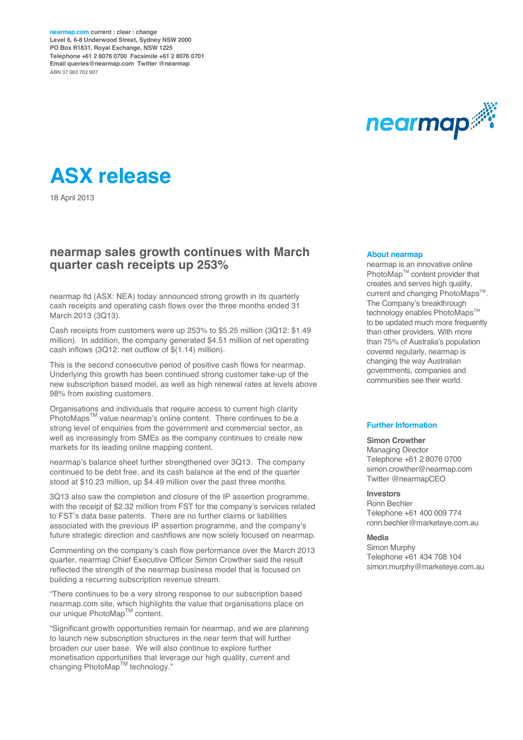**nearmap.com current : clear : change Level 6, 6-8 Underwood Street, Sydney NSW 2000 PO Box R1831, Royal Exchange, NSW 1225 Telephone +61 2 8076 0700 Facsimile +61 2 8076 0701 Email queries@nearmap.com Twitter @nearmap ABN 37 083 702 907**





18 April 2013

#### **nearmap sales growth continues with March quarter cash receipts up 253%**

nearmap ltd (ASX: NEA) today announced strong growth in its quarterly cash receipts and operating cash flows over the three months ended 31 March 2013 (3Q13).

Cash receipts from customers were up 253% to \$5.25 million (3Q12: \$1.49 million). In addition, the company generated \$4.51 million of net operating cash inflows (3Q12: net outflow of \$(1.14) million).

This is the second consecutive period of positive cash flows for nearmap. Underlying this growth has been continued strong customer take-up of the new subscription based model, as well as high renewal rates at levels above 98% from existing customers.

Organisations and individuals that require access to current high clarity PhotoMaps™ value nearmap's online content. There continues to be a strong level of enquiries from the government and commercial sector, as well as increasingly from SMEs as the company continues to create new markets for its leading online mapping content.

nearmap's balance sheet further strengthened over 3Q13. The company continued to be debt free, and its cash balance at the end of the quarter stood at \$10.23 million, up \$4.49 million over the past three months.

3Q13 also saw the completion and closure of the IP assertion programme, with the receipt of \$2.32 million from FST for the company's services related to FST's data base patents. There are no further claims or liabilities associated with the previous IP assertion programme, and the company's future strategic direction and cashflows are now solely focused on nearmap.

Commenting on the company's cash flow performance over the March 2013 quarter, nearmap Chief Executive Officer Simon Crowther said the result reflected the strength of the nearmap business model that is focused on building a recurring subscription revenue stream.

"There continues to be a very strong response to our subscription based nearmap.com site, which highlights the value that organisations place on our unique PhotoMap™ content.

"Significant growth opportunities remain for nearmap, and we are planning to launch new subscription structures in the near term that will further broaden our user base. We will also continue to explore further monetisation opportunities that leverage our high quality, current and changing PhotoMap™ technology."

#### **About nearmap**

nearmap is an innovative online PhotoMap™ content provider that creates and serves high quality, current and changing PhotoMaps<sup>™</sup>. The Company's breakthrough technology enables PhotoMaps™ to be updated much more frequently than other providers. With more than 75% of Australia's population covered regularly, nearmap is changing the way Australian governments, companies and communities see their world.

#### **Further Information**

#### **Simon Crowther**

Managing Director Telephone +61 2 8076 0700 simon.crowther@nearmap.com Twitter @nearmapCEO

#### **Investors**

Ronn Bechler Telephone +61 400 009 774 ronn.bechler@marketeye.com.au

#### **Media**

Simon Murphy Telephone +61 434 708 104 simon.murphy@marketeye.com.au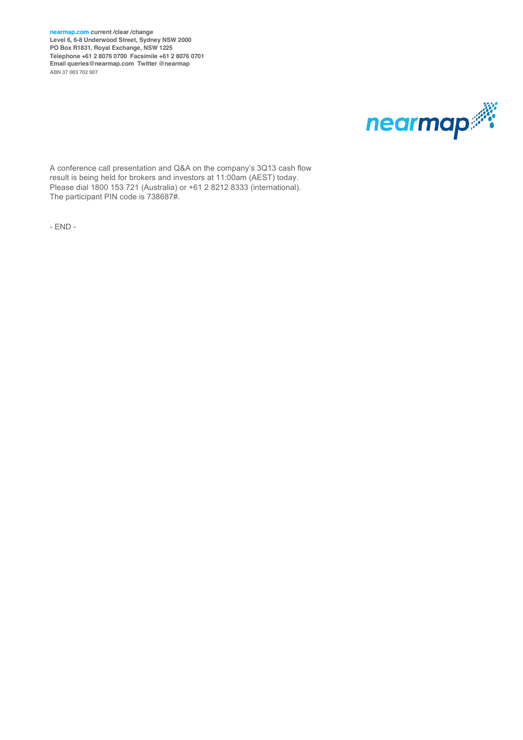**nearmap.com current /clear /change Level 6, 6-8 Underwood Street, Sydney NSW 2000 PO Box R1831, Royal Exchange, NSW 1225 Telephone +61 2 8076 0700 Facsimile +61 2 8076 0701 Email queries@nearmap.com Twitter @nearmap ABN 37 083 702 907**



A conference call presentation and Q&A on the company's 3Q13 cash flow result is being held for brokers and investors at 11:00am (AEST) today. Please dial 1800 153 721 (Australia) or +61 2 8212 8333 (international). The participant PIN code is 738687#.

- END -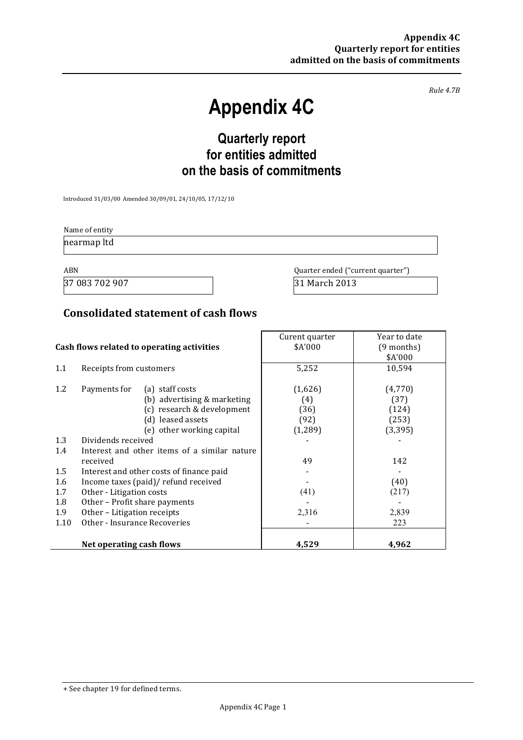*Rule 4.7B*

# **Appendix 4C**

# **Quarterly report for entities admitted on the basis of commitments**

Introduced 31/03/00 Amended 30/09/01, 24/10/05, 17/12/10

Name of entity nearmap ltd

37 083 702 907 31 March 2013

ABN Quarter ended ("current quarter")

### **Consolidated statement of cash flows**

|                                            |                                              | Curent quarter | Year to date |
|--------------------------------------------|----------------------------------------------|----------------|--------------|
| Cash flows related to operating activities |                                              | \$A'000        | $(9$ months) |
|                                            |                                              |                | \$A'000      |
| 1.1                                        | Receipts from customers                      | 5,252          | 10,594       |
| 1.2                                        | Payments for<br>(a) staff costs              | (1,626)        | (4,770)      |
|                                            |                                              |                |              |
|                                            | (b) advertising & marketing                  | (4)            | (37)         |
|                                            | (c) research & development                   | (36)           | (124)        |
|                                            | (d) leased assets                            | (92)           | (253)        |
|                                            | (e) other working capital                    | (1, 289)       | (3, 395)     |
| 1.3                                        | Dividends received                           |                |              |
| 1.4                                        | Interest and other items of a similar nature |                |              |
|                                            | received                                     | 49             | 142          |
| 1.5                                        | Interest and other costs of finance paid     |                |              |
| 1.6                                        | Income taxes (paid)/ refund received         |                | (40)         |
| 1.7                                        | Other - Litigation costs                     | (41)           | (217)        |
| 1.8                                        | Other - Profit share payments                |                |              |
| 1.9                                        | Other - Litigation receipts                  | 2,316          | 2,839        |
| 1.10                                       | Other - Insurance Recoveries                 |                | 223          |
|                                            |                                              |                |              |
|                                            | Net operating cash flows                     | 4,529          | 4,962        |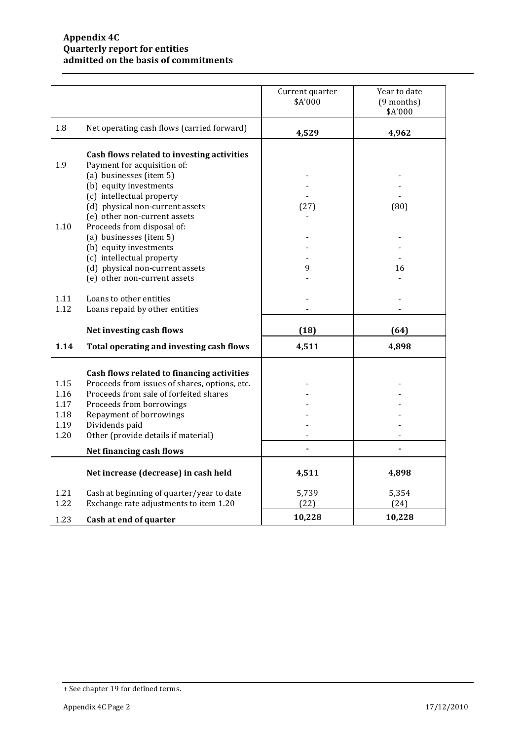|              |                                                                                              | Current quarter<br>\$A'000 | Year to date<br>(9 months)<br>\$A'000 |
|--------------|----------------------------------------------------------------------------------------------|----------------------------|---------------------------------------|
| 1.8          | Net operating cash flows (carried forward)                                                   | 4,529                      | 4,962                                 |
| 1.9          | Cash flows related to investing activities<br>Payment for acquisition of:                    |                            |                                       |
|              | (a) businesses (item 5)<br>(b) equity investments                                            |                            |                                       |
|              | (c) intellectual property<br>(d) physical non-current assets<br>(e) other non-current assets | (27)                       | (80)                                  |
| 1.10         | Proceeds from disposal of:<br>(a) businesses (item 5)<br>(b) equity investments              |                            |                                       |
|              | (c) intellectual property<br>(d) physical non-current assets<br>(e) other non-current assets | 9                          | 16                                    |
| 1.11<br>1.12 | Loans to other entities<br>Loans repaid by other entities                                    |                            |                                       |
|              | Net investing cash flows                                                                     | (18)                       | (64)                                  |
| 1.14         | Total operating and investing cash flows                                                     | 4,511                      | 4,898                                 |
|              | Cash flows related to financing activities                                                   |                            |                                       |
| 1.15<br>1.16 | Proceeds from issues of shares, options, etc.<br>Proceeds from sale of forfeited shares      |                            |                                       |
| 1.17         | Proceeds from borrowings                                                                     |                            |                                       |
| 1.18         | Repayment of borrowings                                                                      |                            |                                       |
| 1.19         | Dividends paid                                                                               |                            |                                       |
| 1.20         | Other (provide details if material)                                                          |                            |                                       |
|              | Net financing cash flows                                                                     |                            |                                       |
|              | Net increase (decrease) in cash held                                                         | 4,511                      | 4,898                                 |
| 1.21<br>1.22 | Cash at beginning of quarter/year to date<br>Exchange rate adjustments to item 1.20          | 5,739<br>(22)              | 5,354<br>(24)                         |
| 1.23         | Cash at end of quarter                                                                       | 10,228                     | 10,228                                |

<sup>+</sup> See chapter 19 for defined terms.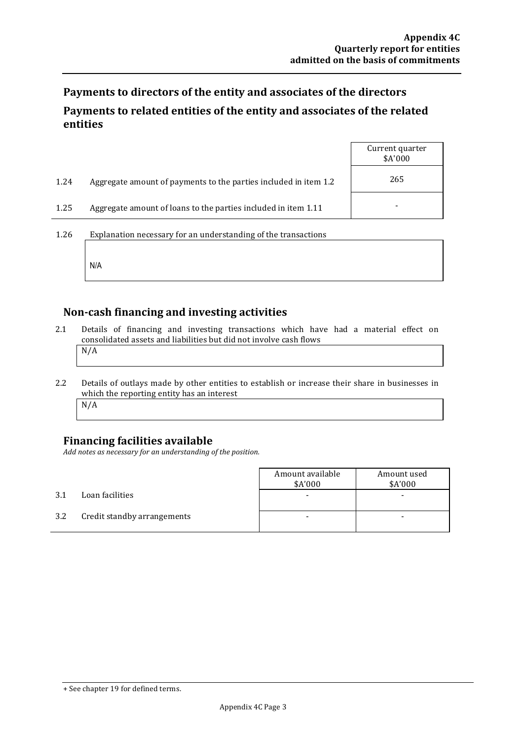Payments to directors of the entity and associates of the directors

## Payments to related entities of the entity and associates of the related **entities**

|      |                                                                  | Current quarter<br>\$A'000 |
|------|------------------------------------------------------------------|----------------------------|
| 1.24 | Aggregate amount of payments to the parties included in item 1.2 | 265                        |
| 1.25 | Aggregate amount of loans to the parties included in item 1.11   |                            |
| 1.26 | Explanation necessary for an understanding of the transactions   |                            |

**Non-cash financing and investing activities**

- 2.1 Details of financing and investing transactions which have had a material effect on consolidated assets and liabilities but did not involve cash flows N/A
- 2.2 Details of outlays made by other entities to establish or increase their share in businesses in which the reporting entity has an interest N/A

## **Financing facilities available**

N/A

Add notes as necessary for an understanding of the position.

|     |                             | Amount available<br>\$A'000 | Amount used<br>\$A'000 |
|-----|-----------------------------|-----------------------------|------------------------|
| 3.1 | Loan facilities             |                             | ۰                      |
| 3.2 | Credit standby arrangements |                             | -                      |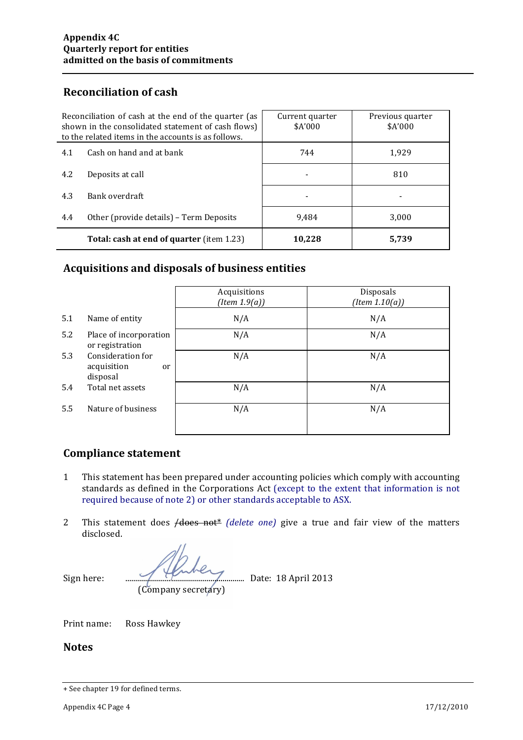## **Reconciliation of cash**

| Reconciliation of cash at the end of the quarter (as<br>shown in the consolidated statement of cash flows)<br>to the related items in the accounts is as follows. |                                                  | Current quarter<br>\$A'000 | Previous quarter<br>\$A'000 |
|-------------------------------------------------------------------------------------------------------------------------------------------------------------------|--------------------------------------------------|----------------------------|-----------------------------|
| 4.1                                                                                                                                                               | Cash on hand and at bank                         | 744                        | 1,929                       |
| 4.2                                                                                                                                                               | Deposits at call                                 |                            | 810                         |
| 4.3                                                                                                                                                               | Bank overdraft                                   | ٠                          |                             |
| 4.4                                                                                                                                                               | Other (provide details) – Term Deposits          | 9.484                      | 3,000                       |
|                                                                                                                                                                   | <b>Total: cash at end of quarter (item 1.23)</b> | 10,228                     | 5,739                       |

## **Acquisitions and disposals of business entities**

|     |                                                               | Acquisitions<br>(Item 1.9(a)) | Disposals<br>$(Item\ 1.10(a))$ |
|-----|---------------------------------------------------------------|-------------------------------|--------------------------------|
| 5.1 | Name of entity                                                | N/A                           | N/A                            |
| 5.2 | Place of incorporation<br>or registration                     | N/A                           | N/A                            |
| 5.3 | Consideration for<br>acquisition<br><sub>or</sub><br>disposal | N/A                           | N/A                            |
| 5.4 | Total net assets                                              | N/A                           | N/A                            |
| 5.5 | Nature of business                                            | N/A                           | N/A                            |

## **Compliance statement**

- 1 This statement has been prepared under accounting policies which comply with accounting standards as defined in the Corporations Act (except to the extent that information is not required because of note 2) or other standards acceptable to ASX.
- 2 This statement does  $\overline{A}$  *does* not<sup>\*</sup> *(delete one)* give a true and fair view of the matters disclosed.

Sign here:  $\frac{1}{2013}$  bate: 18 April 2013 (Company secretary)

Print name: Ross Hawkey

#### **Notes**

<sup>+</sup> See chapter 19 for defined terms.